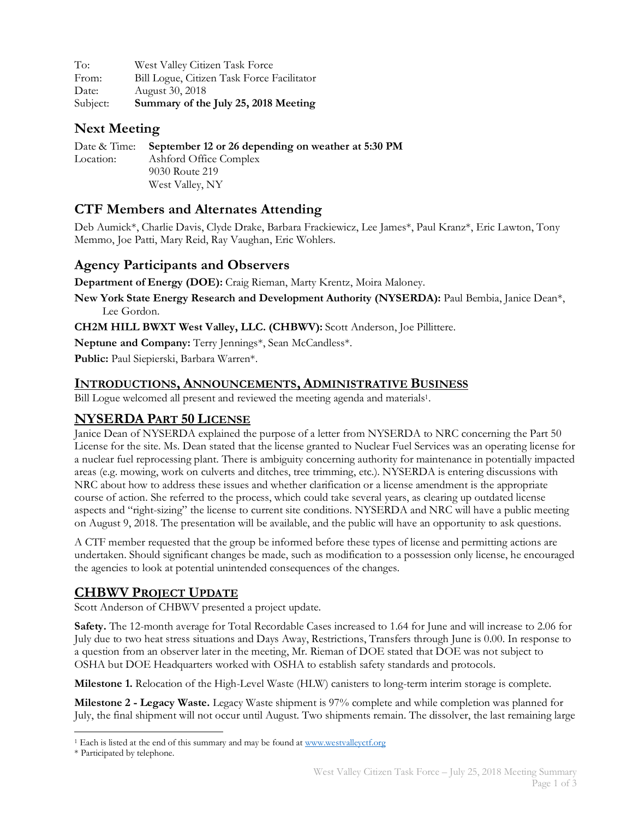| To:      | West Valley Citizen Task Force             |
|----------|--------------------------------------------|
| From:    | Bill Logue, Citizen Task Force Facilitator |
| Date:    | August 30, 2018                            |
| Subject: | Summary of the July 25, 2018 Meeting       |

# **Next Meeting**

Date & Time: **September 12 or 26 depending on weather at 5:30 PM** Location: Ashford Office Complex 9030 Route 219 West Valley, NY

# **CTF Members and Alternates Attending**

Deb Aumick\*, Charlie Davis, Clyde Drake, Barbara Frackiewicz, Lee James\*, Paul Kranz\*, Eric Lawton, Tony Memmo, Joe Patti, Mary Reid, Ray Vaughan, Eric Wohlers.

## **Agency Participants and Observers**

**Department of Energy (DOE):** Craig Rieman, Marty Krentz, Moira Maloney.

**New York State Energy Research and Development Authority (NYSERDA):** Paul Bembia, Janice Dean\*, Lee Gordon.

**CH2M HILL BWXT West Valley, LLC. (CHBWV):** Scott Anderson, Joe Pillittere.

**Neptune and Company:** Terry Jennings\*, Sean McCandless\*.

**Public:** Paul Siepierski, Barbara Warren\*.

#### **INTRODUCTIONS, ANNOUNCEMENTS, ADMINISTRATIVE BUSINESS**

Bill Logue welcomed all present and reviewed the meeting agenda and materials1.

## **NYSERDA PART 50 LICENSE**

Janice Dean of NYSERDA explained the purpose of a letter from NYSERDA to NRC concerning the Part 50 License for the site. Ms. Dean stated that the license granted to Nuclear Fuel Services was an operating license for a nuclear fuel reprocessing plant. There is ambiguity concerning authority for maintenance in potentially impacted areas (e.g. mowing, work on culverts and ditches, tree trimming, etc.). NYSERDA is entering discussions with NRC about how to address these issues and whether clarification or a license amendment is the appropriate course of action. She referred to the process, which could take several years, as clearing up outdated license aspects and "right-sizing" the license to current site conditions. NYSERDA and NRC will have a public meeting on August 9, 2018. The presentation will be available, and the public will have an opportunity to ask questions.

A CTF member requested that the group be informed before these types of license and permitting actions are undertaken. Should significant changes be made, such as modification to a possession only license, he encouraged the agencies to look at potential unintended consequences of the changes.

# **CHBWV PROJECT UPDATE**

Scott Anderson of CHBWV presented a project update.

**Safety.** The 12-month average for Total Recordable Cases increased to 1.64 for June and will increase to 2.06 for July due to two heat stress situations and Days Away, Restrictions, Transfers through June is 0.00. In response to a question from an observer later in the meeting, Mr. Rieman of DOE stated that DOE was not subject to OSHA but DOE Headquarters worked with OSHA to establish safety standards and protocols.

**Milestone 1.** Relocation of the High-Level Waste (HLW) canisters to long-term interim storage is complete.

**Milestone 2 - Legacy Waste.** Legacy Waste shipment is 97% complete and while completion was planned for July, the final shipment will not occur until August. Two shipments remain. The dissolver, the last remaining large

 <sup>1</sup> Each is listed at the end of this summary and may be found at www.westvalleyctf.org

<sup>\*</sup> Participated by telephone.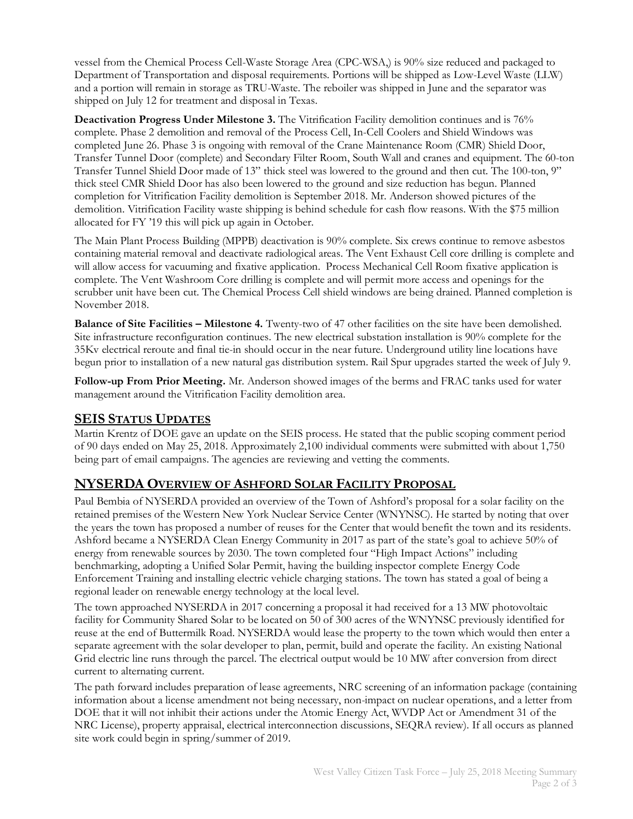vessel from the Chemical Process Cell-Waste Storage Area (CPC-WSA,) is 90% size reduced and packaged to Department of Transportation and disposal requirements. Portions will be shipped as Low-Level Waste (LLW) and a portion will remain in storage as TRU-Waste. The reboiler was shipped in June and the separator was shipped on July 12 for treatment and disposal in Texas.

**Deactivation Progress Under Milestone 3.** The Vitrification Facility demolition continues and is 76% complete. Phase 2 demolition and removal of the Process Cell, In-Cell Coolers and Shield Windows was completed June 26. Phase 3 is ongoing with removal of the Crane Maintenance Room (CMR) Shield Door, Transfer Tunnel Door (complete) and Secondary Filter Room, South Wall and cranes and equipment. The 60-ton Transfer Tunnel Shield Door made of 13" thick steel was lowered to the ground and then cut. The 100-ton, 9" thick steel CMR Shield Door has also been lowered to the ground and size reduction has begun. Planned completion for Vitrification Facility demolition is September 2018. Mr. Anderson showed pictures of the demolition. Vitrification Facility waste shipping is behind schedule for cash flow reasons. With the \$75 million allocated for FY '19 this will pick up again in October.

The Main Plant Process Building (MPPB) deactivation is 90% complete. Six crews continue to remove asbestos containing material removal and deactivate radiological areas. The Vent Exhaust Cell core drilling is complete and will allow access for vacuuming and fixative application. Process Mechanical Cell Room fixative application is complete. The Vent Washroom Core drilling is complete and will permit more access and openings for the scrubber unit have been cut. The Chemical Process Cell shield windows are being drained. Planned completion is November 2018.

**Balance of Site Facilities – Milestone 4.** Twenty-two of 47 other facilities on the site have been demolished. Site infrastructure reconfiguration continues. The new electrical substation installation is 90% complete for the 35Kv electrical reroute and final tie-in should occur in the near future. Underground utility line locations have begun prior to installation of a new natural gas distribution system. Rail Spur upgrades started the week of July 9.

**Follow-up From Prior Meeting.** Mr. Anderson showed images of the berms and FRAC tanks used for water management around the Vitrification Facility demolition area.

## **SEIS STATUS UPDATES**

Martin Krentz of DOE gave an update on the SEIS process. He stated that the public scoping comment period of 90 days ended on May 25, 2018. Approximately 2,100 individual comments were submitted with about 1,750 being part of email campaigns. The agencies are reviewing and vetting the comments.

## **NYSERDA OVERVIEW OF ASHFORD SOLAR FACILITY PROPOSAL**

Paul Bembia of NYSERDA provided an overview of the Town of Ashford's proposal for a solar facility on the retained premises of the Western New York Nuclear Service Center (WNYNSC). He started by noting that over the years the town has proposed a number of reuses for the Center that would benefit the town and its residents. Ashford became a NYSERDA Clean Energy Community in 2017 as part of the state's goal to achieve 50% of energy from renewable sources by 2030. The town completed four "High Impact Actions" including benchmarking, adopting a Unified Solar Permit, having the building inspector complete Energy Code Enforcement Training and installing electric vehicle charging stations. The town has stated a goal of being a regional leader on renewable energy technology at the local level.

The town approached NYSERDA in 2017 concerning a proposal it had received for a 13 MW photovoltaic facility for Community Shared Solar to be located on 50 of 300 acres of the WNYNSC previously identified for reuse at the end of Buttermilk Road. NYSERDA would lease the property to the town which would then enter a separate agreement with the solar developer to plan, permit, build and operate the facility. An existing National Grid electric line runs through the parcel. The electrical output would be 10 MW after conversion from direct current to alternating current.

The path forward includes preparation of lease agreements, NRC screening of an information package (containing information about a license amendment not being necessary, non-impact on nuclear operations, and a letter from DOE that it will not inhibit their actions under the Atomic Energy Act, WVDP Act or Amendment 31 of the NRC License), property appraisal, electrical interconnection discussions, SEQRA review). If all occurs as planned site work could begin in spring/summer of 2019.